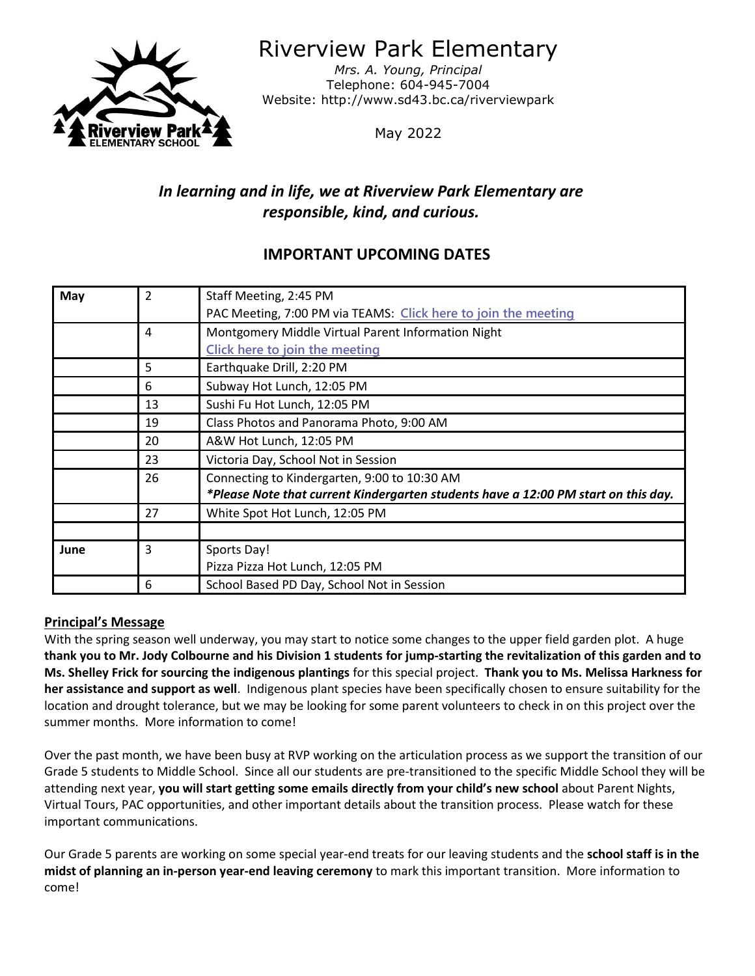

Riverview Park Elementary

*Mrs. A. Young, Principal* Telephone: 604-945-7004 Website: http://www.sd43.bc.ca/riverviewpark

May 2022

# *In learning and in life, we at Riverview Park Elementary are responsible, kind, and curious.*

## **IMPORTANT UPCOMING DATES**

| May  | $\mathfrak{p}$ | Staff Meeting, 2:45 PM                                                             |
|------|----------------|------------------------------------------------------------------------------------|
|      |                | PAC Meeting, 7:00 PM via TEAMS: Click here to join the meeting                     |
|      | 4              | Montgomery Middle Virtual Parent Information Night                                 |
|      |                | Click here to join the meeting                                                     |
|      | 5              | Earthquake Drill, 2:20 PM                                                          |
|      | 6              | Subway Hot Lunch, 12:05 PM                                                         |
|      | 13             | Sushi Fu Hot Lunch, 12:05 PM                                                       |
|      | 19             | Class Photos and Panorama Photo, 9:00 AM                                           |
|      | 20             | A&W Hot Lunch, 12:05 PM                                                            |
|      | 23             | Victoria Day, School Not in Session                                                |
|      | 26             | Connecting to Kindergarten, 9:00 to 10:30 AM                                       |
|      |                | *Please Note that current Kindergarten students have a 12:00 PM start on this day. |
|      | 27             | White Spot Hot Lunch, 12:05 PM                                                     |
|      |                |                                                                                    |
| June | 3              | Sports Day!                                                                        |
|      |                | Pizza Pizza Hot Lunch, 12:05 PM                                                    |
|      | 6              | School Based PD Day, School Not in Session                                         |

## **Principal's Message**

With the spring season well underway, you may start to notice some changes to the upper field garden plot. A huge **thank you to Mr. Jody Colbourne and his Division 1 students for jump-starting the revitalization of this garden and to Ms. Shelley Frick for sourcing the indigenous plantings** for this special project. **Thank you to Ms. Melissa Harkness for her assistance and support as well**. Indigenous plant species have been specifically chosen to ensure suitability for the location and drought tolerance, but we may be looking for some parent volunteers to check in on this project over the summer months. More information to come!

Over the past month, we have been busy at RVP working on the articulation process as we support the transition of our Grade 5 students to Middle School. Since all our students are pre-transitioned to the specific Middle School they will be attending next year, **you will start getting some emails directly from your child's new school** about Parent Nights, Virtual Tours, PAC opportunities, and other important details about the transition process. Please watch for these important communications.

Our Grade 5 parents are working on some special year-end treats for our leaving students and the **school staff is in the midst of planning an in-person year-end leaving ceremony** to mark this important transition. More information to come!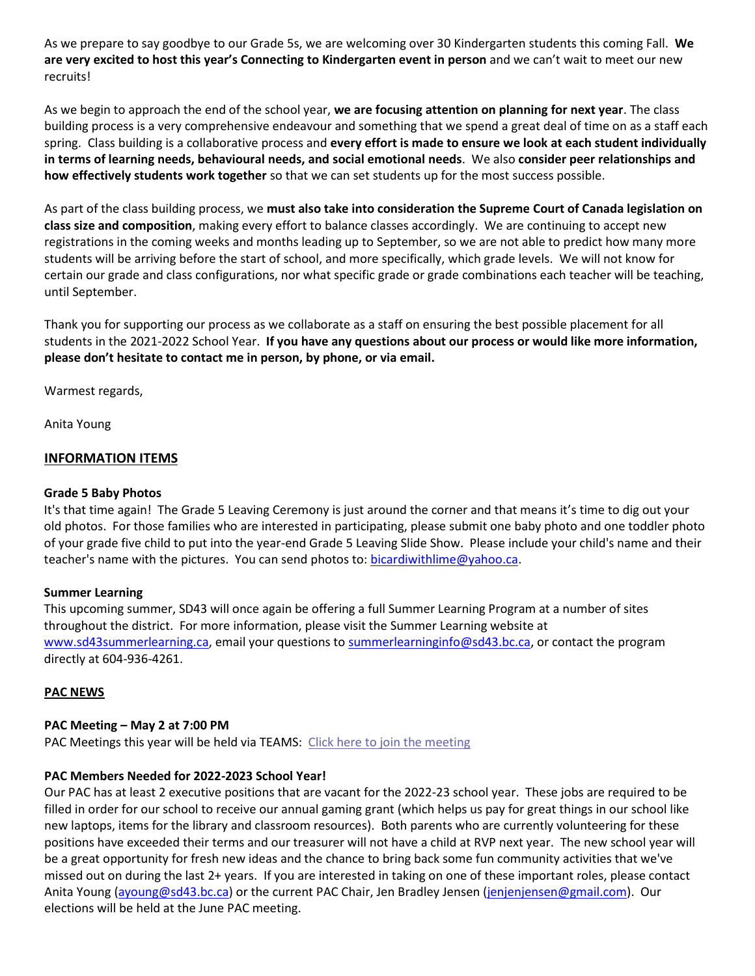As we prepare to say goodbye to our Grade 5s, we are welcoming over 30 Kindergarten students this coming Fall. **We are very excited to host this year's Connecting to Kindergarten event in person** and we can't wait to meet our new recruits!

As we begin to approach the end of the school year, **we are focusing attention on planning for next year**. The class building process is a very comprehensive endeavour and something that we spend a great deal of time on as a staff each spring. Class building is a collaborative process and **every effort is made to ensure we look at each student individually in terms of learning needs, behavioural needs, and social emotional needs**. We also **consider peer relationships and how effectively students work together** so that we can set students up for the most success possible.

As part of the class building process, we **must also take into consideration the Supreme Court of Canada legislation on class size and composition**, making every effort to balance classes accordingly. We are continuing to accept new registrations in the coming weeks and months leading up to September, so we are not able to predict how many more students will be arriving before the start of school, and more specifically, which grade levels. We will not know for certain our grade and class configurations, nor what specific grade or grade combinations each teacher will be teaching, until September.

Thank you for supporting our process as we collaborate as a staff on ensuring the best possible placement for all students in the 2021-2022 School Year. **If you have any questions about our process or would like more information, please don't hesitate to contact me in person, by phone, or via email.**

Warmest regards,

Anita Young

#### **INFORMATION ITEMS**

#### **Grade 5 Baby Photos**

It's that time again! The Grade 5 Leaving Ceremony is just around the corner and that means it's time to dig out your old photos. For those families who are interested in participating, please submit one baby photo and one toddler photo of your grade five child to put into the year-end Grade 5 Leaving Slide Show. Please include your child's name and their teacher's name with the pictures. You can send photos to: bicardiwithlime@yahoo.ca.

#### **Summer Learning**

This upcoming summer, SD43 will once again be offering a full Summer Learning Program at a number of sites throughout the district. For more information, please visit the Summer Learning website at [www.sd43summerlearning.ca,](http://www.sd43summerlearning.ca/) email your questions to summerlearninginfo@sd43.bc.ca, or contact the program directly at 604-936-4261.

#### **PAC NEWS**

#### **PAC Meeting – May 2 at 7:00 PM**

PAC Meetings this year will be held via TEAMS: [Click here to join the meeting](https://teams.microsoft.com/l/meetup-join/19%3ameeting_NjYyZjE4MDUtZTFkYi00YTc4LThmNDYtM2EyZGY5MDQyMjRj%40thread.v2/0?context=%7b%22Tid%22%3a%22d9658cef-0292-4252-9925-6442de24a44b%22%2c%22Oid%22%3a%221b590d38-a337-41db-b865-c71f6b641bf3%22%7d)

#### **PAC Members Needed for 2022-2023 School Year!**

Our PAC has at least 2 executive positions that are vacant for the 2022-23 school year. These jobs are required to be filled in order for our school to receive our annual gaming grant (which helps us pay for great things in our school like new laptops, items for the library and classroom resources). Both parents who are currently volunteering for these positions have exceeded their terms and our treasurer will not have a child at RVP next year. The new school year will be a great opportunity for fresh new ideas and the chance to bring back some fun community activities that we've missed out on during the last 2+ years. If you are interested in taking on one of these important roles, please contact Anita Young [\(ayoung@sd43.bc.ca\)](mailto:ayoung@sd43.bc.ca) or the current PAC Chair, Jen Bradley Jensen [\(jenjenjensen@gmail.com\)](mailto:jenjenjensen@gmail.com). Our elections will be held at the June PAC meeting.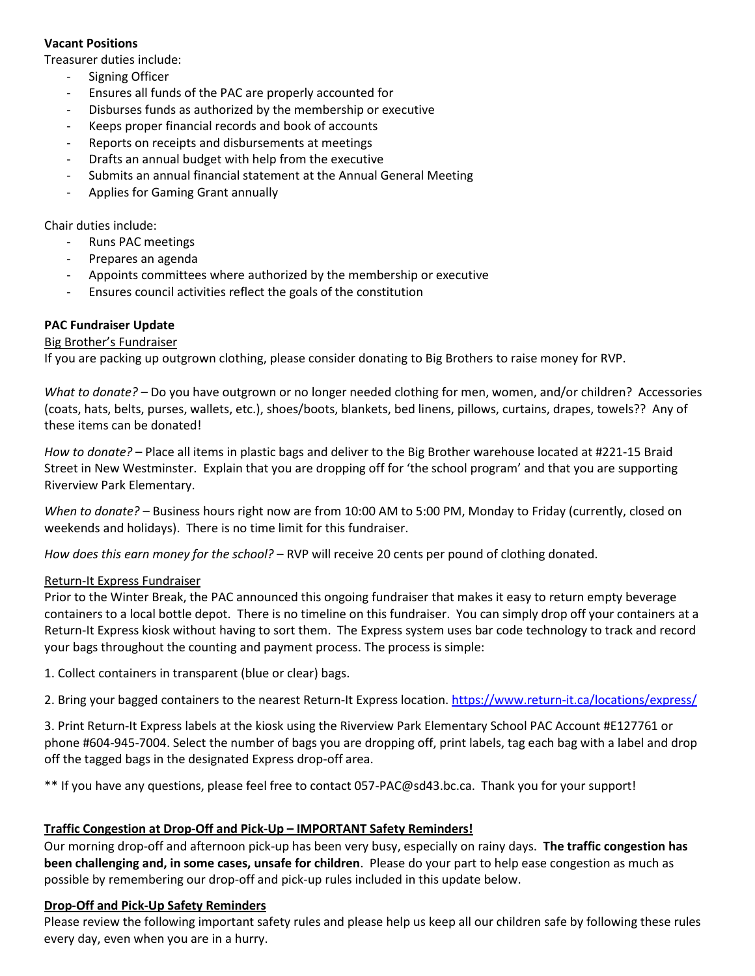## **Vacant Positions**

Treasurer duties include:

- Signing Officer
- Ensures all funds of the PAC are properly accounted for
- Disburses funds as authorized by the membership or executive
- Keeps proper financial records and book of accounts
- Reports on receipts and disbursements at meetings
- Drafts an annual budget with help from the executive
- Submits an annual financial statement at the Annual General Meeting
- Applies for Gaming Grant annually

Chair duties include:

- Runs PAC meetings
- Prepares an agenda
- Appoints committees where authorized by the membership or executive
- Ensures council activities reflect the goals of the constitution

## **PAC Fundraiser Update**

## Big Brother's Fundraiser

If you are packing up outgrown clothing, please consider donating to Big Brothers to raise money for RVP.

*What to donate? –* Do you have outgrown or no longer needed clothing for men, women, and/or children? Accessories (coats, hats, belts, purses, wallets, etc.), shoes/boots, blankets, bed linens, pillows, curtains, drapes, towels?? Any of these items can be donated!

*How to donate?* – Place all items in plastic bags and deliver to the Big Brother warehouse located at #221-15 Braid Street in New Westminster. Explain that you are dropping off for 'the school program' and that you are supporting Riverview Park Elementary.

*When to donate?* – Business hours right now are from 10:00 AM to 5:00 PM, Monday to Friday (currently, closed on weekends and holidays). There is no time limit for this fundraiser.

*How does this earn money for the school?* – RVP will receive 20 cents per pound of clothing donated.

## Return-It Express Fundraiser

Prior to the Winter Break, the PAC announced this ongoing fundraiser that makes it easy to return empty beverage containers to a local bottle depot. There is no timeline on this fundraiser. You can simply drop off your containers at a Return-It Express kiosk without having to sort them. The Express system uses bar code technology to track and record your bags throughout the counting and payment process. The process is simple:

1. Collect containers in transparent (blue or clear) bags.

2. Bring your bagged containers to the nearest Return-It Express location[. https://www.return-it.ca/locations/express/](https://www.return-it.ca/locations/express/)

3. Print Return-It Express labels at the kiosk using the Riverview Park Elementary School PAC Account #E127761 or phone #604-945-7004. Select the number of bags you are dropping off, print labels, tag each bag with a label and drop off the tagged bags in the designated Express drop-off area.

\*\* If you have any questions, please feel free to contact 057-PAC@sd43.bc.ca. Thank you for your support!

## **Traffic Congestion at Drop-Off and Pick-Up – IMPORTANT Safety Reminders!**

Our morning drop-off and afternoon pick-up has been very busy, especially on rainy days. **The traffic congestion has been challenging and, in some cases, unsafe for children**. Please do your part to help ease congestion as much as possible by remembering our drop-off and pick-up rules included in this update below.

## **Drop-Off and Pick-Up Safety Reminders**

Please review the following important safety rules and please help us keep all our children safe by following these rules every day, even when you are in a hurry.